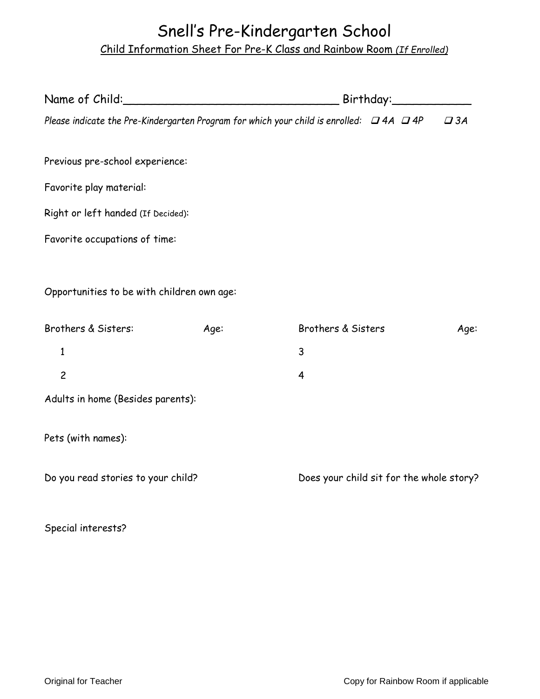## Snell's Pre-Kindergarten School Child Information Sheet For Pre-K Class and Rainbow Room *(If Enrolled)*

| Please indicate the Pre-Kindergarten Program for which your child is enrolled: $\Box$ 4A $\Box$ 4P |      |                                          |  |  | $\Box$ 3A |
|----------------------------------------------------------------------------------------------------|------|------------------------------------------|--|--|-----------|
| Previous pre-school experience:                                                                    |      |                                          |  |  |           |
| Favorite play material:                                                                            |      |                                          |  |  |           |
| Right or left handed (If Decided):                                                                 |      |                                          |  |  |           |
| Favorite occupations of time:                                                                      |      |                                          |  |  |           |
| Opportunities to be with children own age:                                                         |      |                                          |  |  |           |
| Brothers & Sisters:                                                                                | Age: | Brothers & Sisters                       |  |  | Age:      |
| $\mathbf{1}$                                                                                       |      | 3                                        |  |  |           |
| $\overline{c}$                                                                                     |      | 4                                        |  |  |           |
| Adults in home (Besides parents):                                                                  |      |                                          |  |  |           |
| Pets (with names):                                                                                 |      |                                          |  |  |           |
| Do you read stories to your child?                                                                 |      | Does your child sit for the whole story? |  |  |           |
|                                                                                                    |      |                                          |  |  |           |

Special interests?